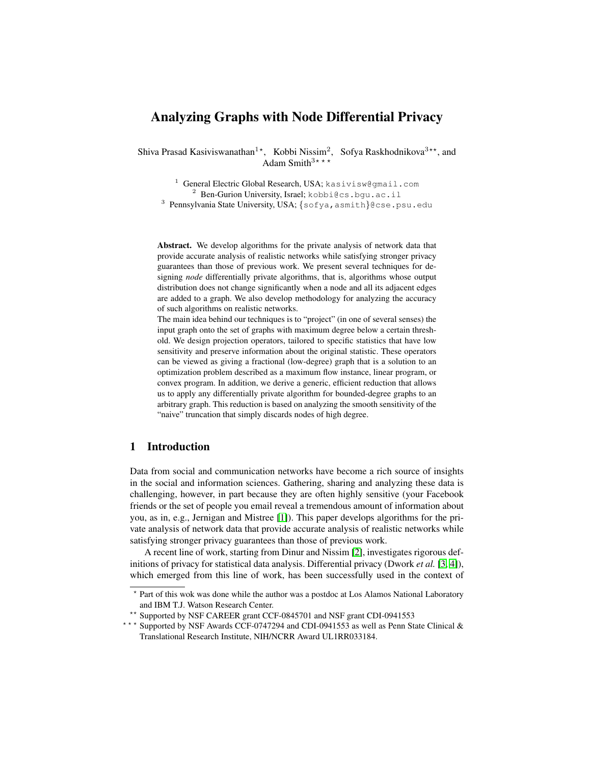# Analyzing Graphs with Node Differential Privacy

Shiva Prasad Kasiviswanathan<sup>1\*</sup>, Kobbi Nissim<sup>2</sup>, Sofya Raskhodnikova<sup>3\*\*</sup>, and Adam Smith<sup>3\*\*\*</sup>

<sup>1</sup> General Electric Global Research, USA; kasivisw@gmail.com <sup>2</sup> Ben-Gurion University, Israel; kobbi@cs.bgu.ac.il  $^3$  Pennsylvania State University, USA;  $\{ \verb|softmax|, \verb|assume|, \verb|else.psu.edu| \}$ 

Abstract. We develop algorithms for the private analysis of network data that provide accurate analysis of realistic networks while satisfying stronger privacy guarantees than those of previous work. We present several techniques for designing *node* differentially private algorithms, that is, algorithms whose output distribution does not change significantly when a node and all its adjacent edges are added to a graph. We also develop methodology for analyzing the accuracy of such algorithms on realistic networks.

The main idea behind our techniques is to "project" (in one of several senses) the input graph onto the set of graphs with maximum degree below a certain threshold. We design projection operators, tailored to specific statistics that have low sensitivity and preserve information about the original statistic. These operators can be viewed as giving a fractional (low-degree) graph that is a solution to an optimization problem described as a maximum flow instance, linear program, or convex program. In addition, we derive a generic, efficient reduction that allows us to apply any differentially private algorithm for bounded-degree graphs to an arbitrary graph. This reduction is based on analyzing the smooth sensitivity of the "naive" truncation that simply discards nodes of high degree.

# 1 Introduction

Data from social and communication networks have become a rich source of insights in the social and information sciences. Gathering, sharing and analyzing these data is challenging, however, in part because they are often highly sensitive (your Facebook friends or the set of people you email reveal a tremendous amount of information about you, as in, e.g., Jernigan and Mistree [\[1\]](#page-17-0)). This paper develops algorithms for the private analysis of network data that provide accurate analysis of realistic networks while satisfying stronger privacy guarantees than those of previous work.

A recent line of work, starting from Dinur and Nissim [\[2\]](#page-17-1), investigates rigorous definitions of privacy for statistical data analysis. Differential privacy (Dwork *et al.* [\[3,](#page-17-2) [4\]](#page-17-3)), which emerged from this line of work, has been successfully used in the context of

<sup>?</sup> Part of this wok was done while the author was a postdoc at Los Alamos National Laboratory and IBM T.J. Watson Research Center.

<sup>\*\*</sup> Supported by NSF CAREER grant CCF-0845701 and NSF grant CDI-0941553

Supported by NSF Awards CCF-0747294 and CDI-0941553 as well as Penn State Clinical & Translational Research Institute, NIH/NCRR Award UL1RR033184.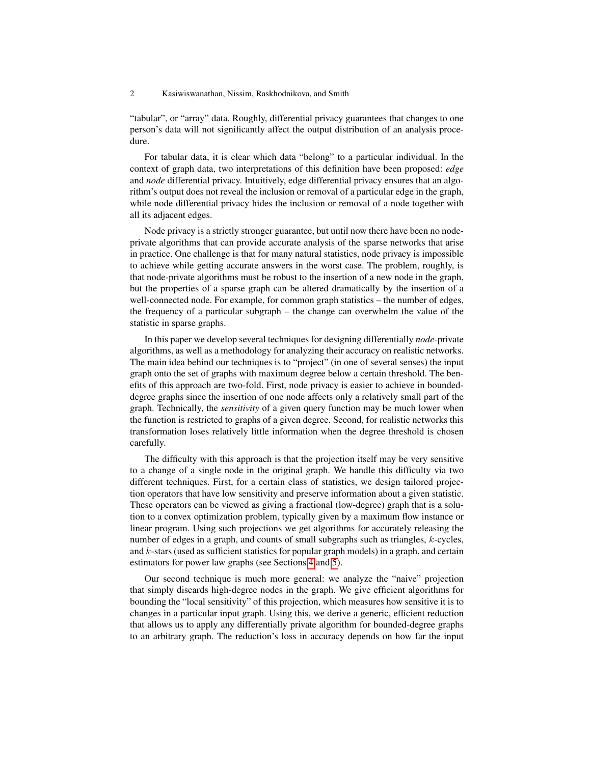"tabular", or "array" data. Roughly, differential privacy guarantees that changes to one person's data will not significantly affect the output distribution of an analysis procedure.

For tabular data, it is clear which data "belong" to a particular individual. In the context of graph data, two interpretations of this definition have been proposed: *edge* and *node* differential privacy. Intuitively, edge differential privacy ensures that an algorithm's output does not reveal the inclusion or removal of a particular edge in the graph, while node differential privacy hides the inclusion or removal of a node together with all its adjacent edges.

Node privacy is a strictly stronger guarantee, but until now there have been no nodeprivate algorithms that can provide accurate analysis of the sparse networks that arise in practice. One challenge is that for many natural statistics, node privacy is impossible to achieve while getting accurate answers in the worst case. The problem, roughly, is that node-private algorithms must be robust to the insertion of a new node in the graph, but the properties of a sparse graph can be altered dramatically by the insertion of a well-connected node. For example, for common graph statistics – the number of edges, the frequency of a particular subgraph – the change can overwhelm the value of the statistic in sparse graphs.

In this paper we develop several techniques for designing differentially *node*-private algorithms, as well as a methodology for analyzing their accuracy on realistic networks. The main idea behind our techniques is to "project" (in one of several senses) the input graph onto the set of graphs with maximum degree below a certain threshold. The benefits of this approach are two-fold. First, node privacy is easier to achieve in boundeddegree graphs since the insertion of one node affects only a relatively small part of the graph. Technically, the *sensitivity* of a given query function may be much lower when the function is restricted to graphs of a given degree. Second, for realistic networks this transformation loses relatively little information when the degree threshold is chosen carefully.

The difficulty with this approach is that the projection itself may be very sensitive to a change of a single node in the original graph. We handle this difficulty via two different techniques. First, for a certain class of statistics, we design tailored projection operators that have low sensitivity and preserve information about a given statistic. These operators can be viewed as giving a fractional (low-degree) graph that is a solution to a convex optimization problem, typically given by a maximum flow instance or linear program. Using such projections we get algorithms for accurately releasing the number of edges in a graph, and counts of small subgraphs such as triangles,  $k$ -cycles, and  $k$ -stars (used as sufficient statistics for popular graph models) in a graph, and certain estimators for power law graphs (see Sections [4](#page-9-0) and [5\)](#page-12-0).

Our second technique is much more general: we analyze the "naive" projection that simply discards high-degree nodes in the graph. We give efficient algorithms for bounding the "local sensitivity" of this projection, which measures how sensitive it is to changes in a particular input graph. Using this, we derive a generic, efficient reduction that allows us to apply any differentially private algorithm for bounded-degree graphs to an arbitrary graph. The reduction's loss in accuracy depends on how far the input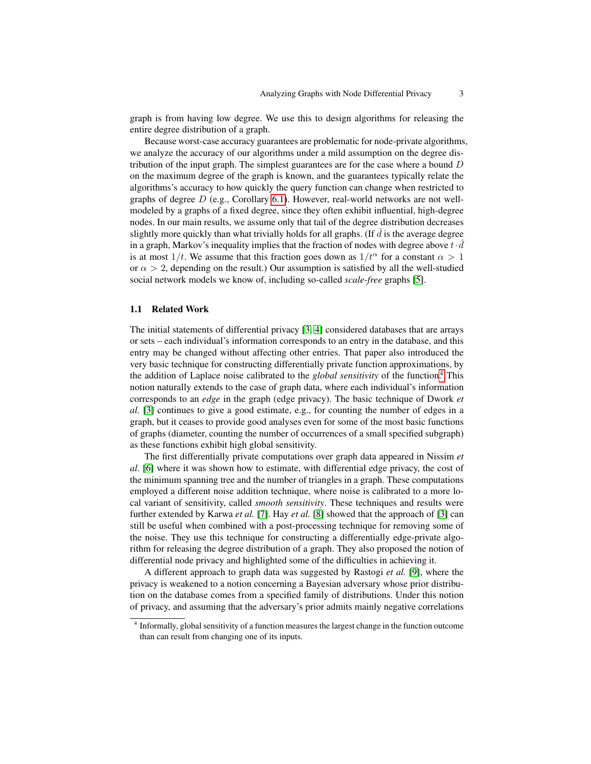graph is from having low degree. We use this to design algorithms for releasing the entire degree distribution of a graph.

Because worst-case accuracy guarantees are problematic for node-private algorithms, we analyze the accuracy of our algorithms under a mild assumption on the degree distribution of the input graph. The simplest guarantees are for the case where a bound  $D$ on the maximum degree of the graph is known, and the guarantees typically relate the algorithms's accuracy to how quickly the query function can change when restricted to graphs of degree  $D$  (e.g., Corollary [6.1\)](#page-15-0). However, real-world networks are not wellmodeled by a graphs of a fixed degree, since they often exhibit influential, high-degree nodes. In our main results, we assume only that tail of the degree distribution decreases slightly more quickly than what trivially holds for all graphs. (If  $d$  is the average degree in a graph, Markov's inequality implies that the fraction of nodes with degree above  $t \cdot d$ is at most  $1/t$ . We assume that this fraction goes down as  $1/t^{\alpha}$  for a constant  $\alpha > 1$ or  $\alpha > 2$ , depending on the result.) Our assumption is satisfied by all the well-studied social network models we know of, including so-called *scale-free* graphs [\[5\]](#page-17-4).

### 1.1 Related Work

The initial statements of differential privacy [\[3,](#page-17-2) [4\]](#page-17-3) considered databases that are arrays or sets – each individual's information corresponds to an entry in the database, and this entry may be changed without affecting other entries. That paper also introduced the very basic technique for constructing differentially private function approximations, by the addition of Laplace noise calibrated to the *global sensitivity* of the functio[n.](#page-2-0)<sup>4</sup> This notion naturally extends to the case of graph data, where each individual's information corresponds to an *edge* in the graph (edge privacy). The basic technique of Dwork *et al.* [\[3\]](#page-17-2) continues to give a good estimate, e.g., for counting the number of edges in a graph, but it ceases to provide good analyses even for some of the most basic functions of graphs (diameter, counting the number of occurrences of a small specified subgraph) as these functions exhibit high global sensitivity.

The first differentially private computations over graph data appeared in Nissim *et al.* [\[6\]](#page-17-5) where it was shown how to estimate, with differential edge privacy, the cost of the minimum spanning tree and the number of triangles in a graph. These computations employed a different noise addition technique, where noise is calibrated to a more local variant of sensitivity, called *smooth sensitivity*. These techniques and results were further extended by Karwa *et al.* [\[7\]](#page-17-6). Hay *et al.* [\[8\]](#page-18-0) showed that the approach of [\[3\]](#page-17-2) can still be useful when combined with a post-processing technique for removing some of the noise. They use this technique for constructing a differentially edge-private algorithm for releasing the degree distribution of a graph. They also proposed the notion of differential node privacy and highlighted some of the difficulties in achieving it.

A different approach to graph data was suggested by Rastogi *et al.* [\[9\]](#page-18-1), where the privacy is weakened to a notion concerning a Bayesian adversary whose prior distribution on the database comes from a specified family of distributions. Under this notion of privacy, and assuming that the adversary's prior admits mainly negative correlations

<span id="page-2-0"></span><sup>&</sup>lt;sup>4</sup> Informally, global sensitivity of a function measures the largest change in the function outcome than can result from changing one of its inputs.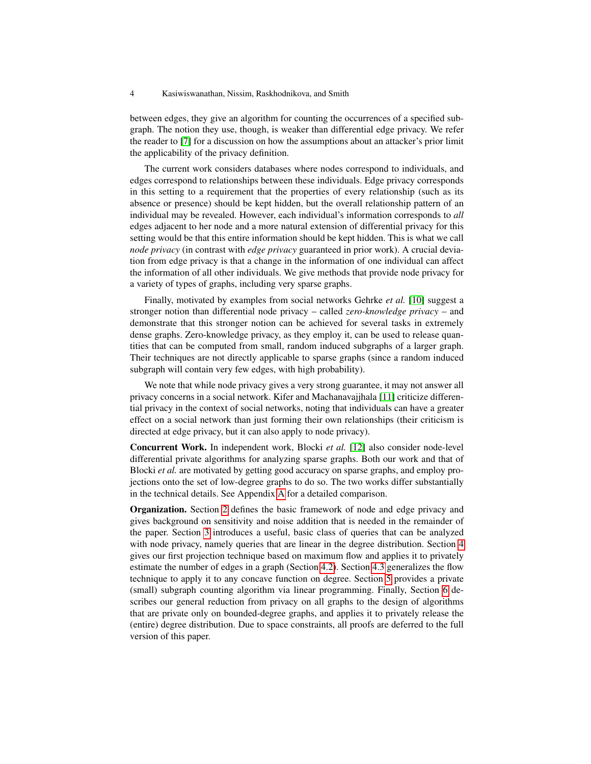between edges, they give an algorithm for counting the occurrences of a specified subgraph. The notion they use, though, is weaker than differential edge privacy. We refer the reader to [\[7\]](#page-17-6) for a discussion on how the assumptions about an attacker's prior limit the applicability of the privacy definition.

The current work considers databases where nodes correspond to individuals, and edges correspond to relationships between these individuals. Edge privacy corresponds in this setting to a requirement that the properties of every relationship (such as its absence or presence) should be kept hidden, but the overall relationship pattern of an individual may be revealed. However, each individual's information corresponds to *all* edges adjacent to her node and a more natural extension of differential privacy for this setting would be that this entire information should be kept hidden. This is what we call *node privacy* (in contrast with *edge privacy* guaranteed in prior work). A crucial deviation from edge privacy is that a change in the information of one individual can affect the information of all other individuals. We give methods that provide node privacy for a variety of types of graphs, including very sparse graphs.

Finally, motivated by examples from social networks Gehrke *et al.* [\[10\]](#page-18-2) suggest a stronger notion than differential node privacy – called *zero-knowledge privacy* – and demonstrate that this stronger notion can be achieved for several tasks in extremely dense graphs. Zero-knowledge privacy, as they employ it, can be used to release quantities that can be computed from small, random induced subgraphs of a larger graph. Their techniques are not directly applicable to sparse graphs (since a random induced subgraph will contain very few edges, with high probability).

We note that while node privacy gives a very strong guarantee, it may not answer all privacy concerns in a social network. Kifer and Machanavajjhala [\[11\]](#page-18-3) criticize differential privacy in the context of social networks, noting that individuals can have a greater effect on a social network than just forming their own relationships (their criticism is directed at edge privacy, but it can also apply to node privacy).

Concurrent Work. In independent work, Blocki *et al.* [\[12\]](#page-18-4) also consider node-level differential private algorithms for analyzing sparse graphs. Both our work and that of Blocki *et al.* are motivated by getting good accuracy on sparse graphs, and employ projections onto the set of low-degree graphs to do so. The two works differ substantially in the technical details. See Appendix [A](#page-18-5) for a detailed comparison.

Organization. Section [2](#page-4-0) defines the basic framework of node and edge privacy and gives background on sensitivity and noise addition that is needed in the remainder of the paper. Section [3](#page-8-0) introduces a useful, basic class of queries that can be analyzed with node privacy, namely queries that are linear in the degree distribution. Section [4](#page-9-0) gives our first projection technique based on maximum flow and applies it to privately estimate the number of edges in a graph (Section [4.2\)](#page-10-0). Section [4.3](#page-11-0) generalizes the flow technique to apply it to any concave function on degree. Section [5](#page-12-0) provides a private (small) subgraph counting algorithm via linear programming. Finally, Section [6](#page-14-0) describes our general reduction from privacy on all graphs to the design of algorithms that are private only on bounded-degree graphs, and applies it to privately release the (entire) degree distribution. Due to space constraints, all proofs are deferred to the full version of this paper.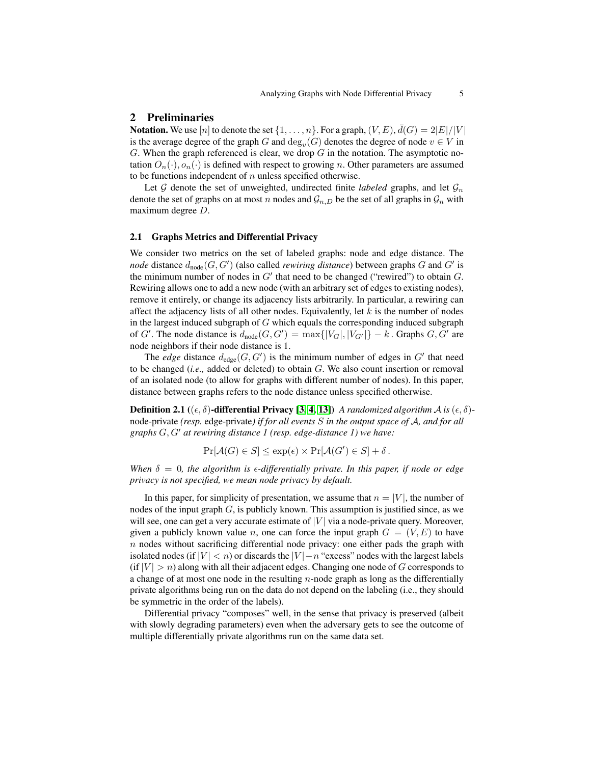# <span id="page-4-0"></span>2 Preliminaries

**Notation.** We use [n] to denote the set  $\{1, \ldots, n\}$ . For a graph,  $(V, E)$ ,  $\bar{d}(G) = 2|E|/|V|$ is the average degree of the graph G and  $\deg_v(G)$  denotes the degree of node  $v \in V$  in  $G$ . When the graph referenced is clear, we drop  $G$  in the notation. The asymptotic notation  $O_n(\cdot)$ ,  $o_n(\cdot)$  is defined with respect to growing n. Other parameters are assumed to be functions independent of  $n$  unless specified otherwise.

Let G denote the set of unweighted, undirected finite *labeled* graphs, and let  $\mathcal{G}_n$ denote the set of graphs on at most n nodes and  $\mathcal{G}_{n,D}$  be the set of all graphs in  $\mathcal{G}_n$  with maximum degree D.

### 2.1 Graphs Metrics and Differential Privacy

We consider two metrics on the set of labeled graphs: node and edge distance. The *node* distance  $d_{\text{node}}(G, G')$  (also called *rewiring distance*) between graphs G and G' is the minimum number of nodes in  $G'$  that need to be changed ("rewired") to obtain  $G$ . Rewiring allows one to add a new node (with an arbitrary set of edges to existing nodes), remove it entirely, or change its adjacency lists arbitrarily. In particular, a rewiring can affect the adjacency lists of all other nodes. Equivalently, let  $k$  is the number of nodes in the largest induced subgraph of  $G$  which equals the corresponding induced subgraph of G'. The node distance is  $d_{\text{node}}(G, G') = \max\{|V_G|, |V_{G'}|\} - k$ . Graphs  $G, G'$  are node neighbors if their node distance is 1.

The *edge* distance  $d_{edge}(G, G')$  is the minimum number of edges in  $G'$  that need to be changed (*i.e.,* added or deleted) to obtain G. We also count insertion or removal of an isolated node (to allow for graphs with different number of nodes). In this paper, distance between graphs refers to the node distance unless specified otherwise.

**Definition 2.1** (( $\epsilon$ ,  $\delta$ )**-differential Privacy [\[3,](#page-17-2) [4,](#page-17-3) [13\]](#page-18-6)**) *A randomized algorithm A* is ( $\epsilon$ ,  $\delta$ )node-private *(resp.* edge-private*) if for all events* S *in the output space of* A*, and for all graphs*  $G, G'$  *at rewiring distance 1 (resp. edge-distance 1) we have:* 

$$
\Pr[\mathcal{A}(G) \in S] \le \exp(\epsilon) \times \Pr[\mathcal{A}(G') \in S] + \delta.
$$

*When*  $\delta = 0$ *, the algorithm is*  $\epsilon$ *-differentially private. In this paper, if node or edge privacy is not specified, we mean node privacy by default.*

In this paper, for simplicity of presentation, we assume that  $n = |V|$ , the number of nodes of the input graph  $G$ , is publicly known. This assumption is justified since, as we will see, one can get a very accurate estimate of  $|V|$  via a node-private query. Moreover, given a publicly known value n, one can force the input graph  $G = (V, E)$  to have  $n$  nodes without sacrificing differential node privacy: one either pads the graph with isolated nodes (if  $|V| < n$ ) or discards the  $|V| - n$  "excess" nodes with the largest labels  $(f|V| > n)$  along with all their adjacent edges. Changing one node of G corresponds to a change of at most one node in the resulting  $n$ -node graph as long as the differentially private algorithms being run on the data do not depend on the labeling (i.e., they should be symmetric in the order of the labels).

<span id="page-4-1"></span>Differential privacy "composes" well, in the sense that privacy is preserved (albeit with slowly degrading parameters) even when the adversary gets to see the outcome of multiple differentially private algorithms run on the same data set.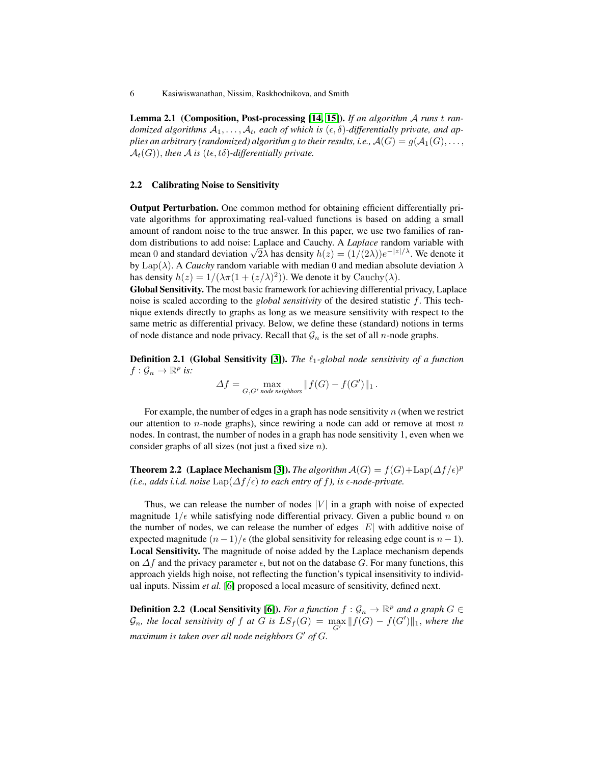Lemma 2.1 (Composition, Post-processing [\[14,](#page-18-7) [15\]](#page-18-8)). *If an algorithm* A *runs* t *randomized algorithms*  $A_1, \ldots, A_t$ , each of which is  $(\epsilon, \delta)$ -differentially private, and ap*plies an arbitrary (randomized) algorithm g to their results, i.e.,*  $\mathcal{A}(G) = g(\mathcal{A}_1(G), \ldots,$  $\mathcal{A}_t(G)$ , *then* A *is* (*t* $\epsilon$ , *t* $\delta$ *)*-differentially private.

# 2.2 Calibrating Noise to Sensitivity

Output Perturbation. One common method for obtaining efficient differentially private algorithms for approximating real-valued functions is based on adding a small amount of random noise to the true answer. In this paper, we use two families of random distributions to add noise: Laplace and Cauchy. A *Laplace* random variable with dom distributions to add noise: Laplace and Cauchy. A *Laplace* random variable with mean 0 and standard deviation  $\sqrt{2\lambda}$  has density  $h(z) = (1/(2\lambda))e^{-|z|/\lambda}$ . We denote it by Lap( $\lambda$ ). A *Cauchy* random variable with median 0 and median absolute deviation  $\lambda$ has density  $h(z) = 1/(\lambda \pi (1 + (z/\lambda)^2))$ . We denote it by Cauchy( $\lambda$ ).

Global Sensitivity. The most basic framework for achieving differential privacy, Laplace noise is scaled according to the *global sensitivity* of the desired statistic f. This technique extends directly to graphs as long as we measure sensitivity with respect to the same metric as differential privacy. Below, we define these (standard) notions in terms of node distance and node privacy. Recall that  $\mathcal{G}_n$  is the set of all *n*-node graphs.

<span id="page-5-0"></span>**Definition 2.1** (Global Sensitivity [\[3\]](#page-17-2)). *The*  $\ell_1$ -global node sensitivity of a function  $f: \mathcal{G}_n \to \mathbb{R}^p$  is:

$$
\varDelta f = \max_{G,G' \text{ node neighbors}} \|f(G) - f(G')\|_1\,.
$$

For example, the number of edges in a graph has node sensitivity  $n$  (when we restrict our attention to *n*-node graphs), since rewiring a node can add or remove at most n nodes. In contrast, the number of nodes in a graph has node sensitivity 1, even when we consider graphs of all sizes (not just a fixed size n).

**Theorem 2.2** (Laplace Mechanism [\[3\]](#page-17-2)). *The algorithm*  $\mathcal{A}(G) = f(G) + \text{Lap}(\Delta f/\epsilon)^p$ *(i.e., adds i.i.d. noise*  $\text{Lap}(\Delta f/\epsilon)$  *to each entry of f), is*  $\epsilon$ *-node-private.* 

Thus, we can release the number of nodes  $|V|$  in a graph with noise of expected magnitude  $1/\epsilon$  while satisfying node differential privacy. Given a public bound n on the number of nodes, we can release the number of edges  $|E|$  with additive noise of expected magnitude  $(n-1)/\epsilon$  (the global sensitivity for releasing edge count is  $n-1$ ). Local Sensitivity. The magnitude of noise added by the Laplace mechanism depends on  $\Delta f$  and the privacy parameter  $\epsilon$ , but not on the database G. For many functions, this approach yields high noise, not reflecting the function's typical insensitivity to individual inputs. Nissim *et al.* [\[6\]](#page-17-5) proposed a local measure of sensitivity, defined next.

<span id="page-5-1"></span>**Definition 2.2** (Local Sensitivity [\[6\]](#page-17-5)). *For a function*  $f : \mathcal{G}_n \to \mathbb{R}^p$  and a graph  $G \in$  $\mathcal{G}_n$ , the local sensitivity of f at G is  $LS_f(G) = \max_{G'} ||f(G) - f(G')||_1$ , where the *maximum is taken over all node neighbors*  $G'$  of  $G$ .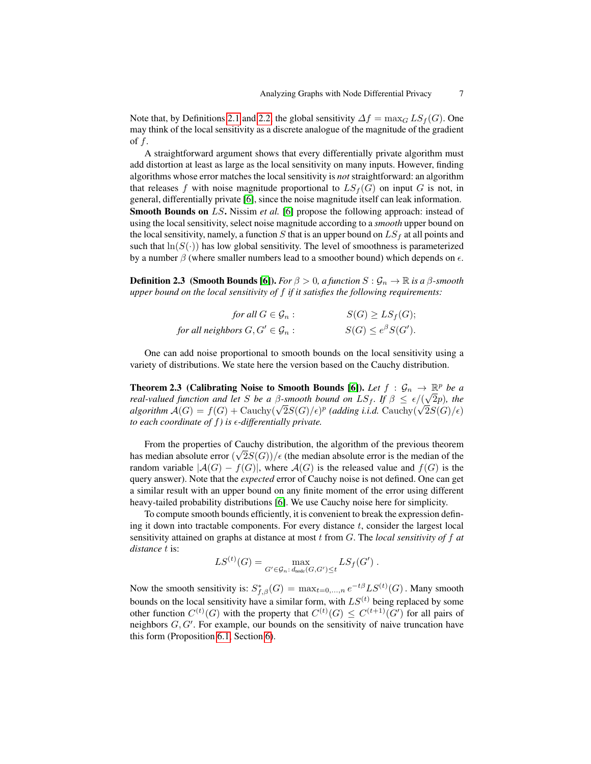Note that, by Definitions [2.1](#page-5-0) and [2.2,](#page-5-1) the global sensitivity  $\Delta f = \max_G LS_f(G)$ . One may think of the local sensitivity as a discrete analogue of the magnitude of the gradient of  $f$ .

A straightforward argument shows that every differentially private algorithm must add distortion at least as large as the local sensitivity on many inputs. However, finding algorithms whose error matches the local sensitivity is *not* straightforward: an algorithm that releases f with noise magnitude proportional to  $LS_f(G)$  on input G is not, in general, differentially private [\[6\]](#page-17-5), since the noise magnitude itself can leak information. Smooth Bounds on LS. Nissim *et al.* [\[6\]](#page-17-5) propose the following approach: instead of using the local sensitivity, select noise magnitude according to a *smooth* upper bound on the local sensitivity, namely, a function S that is an upper bound on  $LS<sub>f</sub>$  at all points and such that  $\ln(S(\cdot))$  has low global sensitivity. The level of smoothness is parameterized by a number  $β$  (where smaller numbers lead to a smoother bound) which depends on  $ε$ .

<span id="page-6-0"></span>**Definition 2.3** (Smooth Bounds [\[6\]](#page-17-5)). *For*  $\beta > 0$ , a function  $S : \mathcal{G}_n \to \mathbb{R}$  is a  $\beta$ -smooth *upper bound on the local sensitivity of* f *if it satisfies the following requirements:*

| for all $G \in \mathcal{G}_n$ :               | $S(G) \geq LS_f(G);$         |
|-----------------------------------------------|------------------------------|
| for all neighbors $G, G' \in \mathcal{G}_n$ : | $S(G) \leq e^{\beta} S(G').$ |

One can add noise proportional to smooth bounds on the local sensitivity using a variety of distributions. We state here the version based on the Cauchy distribution.

<span id="page-6-1"></span>**Theorem 2.3** (Calibrating Noise to Smooth Bounds [\[6\]](#page-17-5)). Let  $f : \mathcal{G}_n \to \mathbb{R}^p$  be a *real-valued function and let* S *be a*  $\beta$ -smooth bound on  $LS_f$ . If  $\beta \leq \epsilon/(\sqrt{2p})$ , the *real-valued junction and let S be a p-smooth bound on*  $LS_f$ *. If*  $p \leq \epsilon/(\sqrt{2p})$ *, the algorithm*  $A(G) = f(G) +$  Cauchy $(\sqrt{2}S(G)/\epsilon)^p$  *(adding i.i.d. Cauchy*  $(\sqrt{2}S(G)/\epsilon)$ ) *to each coordinate of* f*) is -differentially private.*

From the properties of Cauchy distribution, the algorithm of the previous theorem has median absolute error  $(\sqrt{2}S(G))/\epsilon$  (the median absolute error is the median of the random variable  $|\mathcal{A}(G) - f(G)|$ , where  $\mathcal{A}(G)$  is the released value and  $f(G)$  is the query answer). Note that the *expected* error of Cauchy noise is not defined. One can get a similar result with an upper bound on any finite moment of the error using different heavy-tailed probability distributions [\[6\]](#page-17-5). We use Cauchy noise here for simplicity.

To compute smooth bounds efficiently, it is convenient to break the expression defining it down into tractable components. For every distance  $t$ , consider the largest local sensitivity attained on graphs at distance at most t from G. The *local sensitivity of* f *at distance t* is:

$$
LS^{(t)}(G) = \max_{G' \in \mathcal{G}_n: d_{\text{node}}(G, G') \leq t} LS_f(G') .
$$

Now the smooth sensitivity is:  $S_{f,\beta}^*(G) = \max_{t=0,\dots,n} e^{-t\beta} LS^{(t)}(G)$ . Many smooth bounds on the local sensitivity have a similar form, with  $LS^{(t)}$  being replaced by some other function  $C^{(t)}(G)$  with the property that  $C^{(t)}(G) \leq C^{(t+1)}(G')$  for all pairs of neighbors  $G, G'$ . For example, our bounds on the sensitivity of naive truncation have this form (Proposition [6.1,](#page-11-1) Section [6\)](#page-14-0).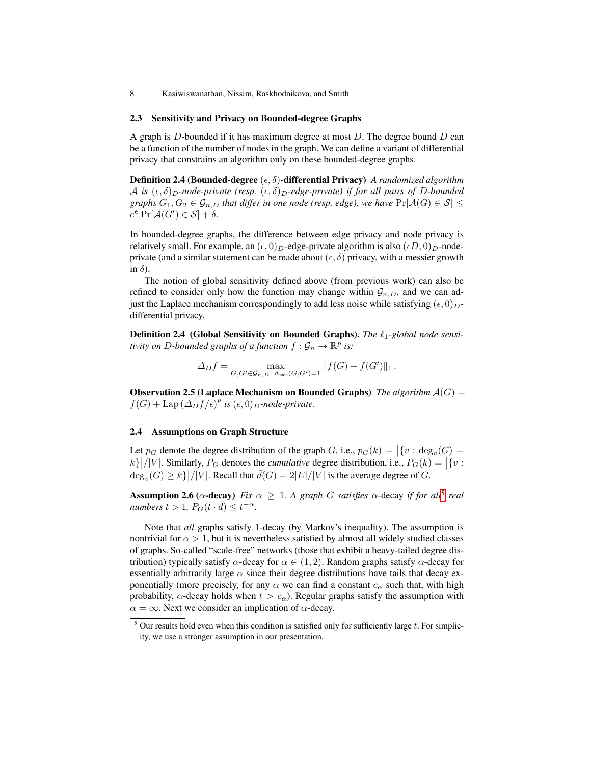#### 2.3 Sensitivity and Privacy on Bounded-degree Graphs

A graph is  $D$ -bounded if it has maximum degree at most  $D$ . The degree bound  $D$  can be a function of the number of nodes in the graph. We can define a variant of differential privacy that constrains an algorithm only on these bounded-degree graphs.

**Definition 2.4 (Bounded-degree** (ε, δ)-differential Privacy) *A randomized algorithm* A is  $(\epsilon, \delta)_D$ -node-private (resp.  $(\epsilon, \delta)_D$ -edge-private) if for all pairs of D-bounded *graphs*  $G_1, G_2 \in \mathcal{G}_{n,D}$  *that differ in one node (resp. edge), we have*  $Pr[\mathcal{A}(G) \in \mathcal{S}] \leq$  $e^{\epsilon} \Pr[A(G') \in S] + \delta.$ 

In bounded-degree graphs, the difference between edge privacy and node privacy is relatively small. For example, an  $(\epsilon, 0)_D$ -edge-private algorithm is also  $(\epsilon D, 0)_D$ -nodeprivate (and a similar statement can be made about  $(\epsilon, \delta)$  privacy, with a messier growth in  $\delta$ ).

The notion of global sensitivity defined above (from previous work) can also be refined to consider only how the function may change within  $\mathcal{G}_{n,D}$ , and we can adjust the Laplace mechanism correspondingly to add less noise while satisfying  $(\epsilon, 0)_D$ differential privacy.

**Definition 2.4** (Global Sensitivity on Bounded Graphs). *The*  $\ell_1$ -global node sensi*tivity on D-bounded graphs of a function*  $f : \mathcal{G}_n \to \mathbb{R}^p$  *is:* 

$$
\Delta_D f = \max_{G, G' \in \mathcal{G}_{n,D}: d_{\text{node}}(G, G') = 1} ||f(G) - f(G')||_1.
$$

**Observation 2.5 (Laplace Mechanism on Bounded Graphs)** *The algorithm*  $A(G)$  =  $f(G) + \text{Lap}(\Delta_D f/\epsilon)^p$  is  $(\epsilon, 0)_D$ -node-private.

# <span id="page-7-1"></span>2.4 Assumptions on Graph Structure

Let  $p_G$  denote the degree distribution of the graph G, i.e.,  $p_G(k) = |\{v : \text{deg}_v(G) = \emptyset\}|$  $k\}/|V|$ . Similarly,  $P_G$  denotes the *cumulative* degree distribution, i.e.,  $P_G(k) = |\{v :$  $deg_v(G) \ge k\} / |V|$ . Recall that  $\bar{d}(G) = 2|E| / |V|$  is the average degree of G.

**Assumption 2.6** ( $\alpha$ -decay) *Fix*  $\alpha \geq 1$ . A graph G satisfies  $\alpha$ -decay if for all<sup>[5](#page-7-0)</sup> real  $number$ <sub>*s*</sub>  $t > 1$ *,*  $P_G(t \cdot \bar{d}) \leq t^{-\alpha}$ *.* 

Note that *all* graphs satisfy 1-decay (by Markov's inequality). The assumption is nontrivial for  $\alpha > 1$ , but it is nevertheless satisfied by almost all widely studied classes of graphs. So-called "scale-free" networks (those that exhibit a heavy-tailed degree distribution) typically satisfy  $\alpha$ -decay for  $\alpha \in (1, 2)$ . Random graphs satisfy  $\alpha$ -decay for essentially arbitrarily large  $\alpha$  since their degree distributions have tails that decay exponentially (more precisely, for any  $\alpha$  we can find a constant  $c_{\alpha}$  such that, with high probability,  $\alpha$ -decay holds when  $t > c_{\alpha}$ ). Regular graphs satisfy the assumption with  $\alpha = \infty$ . Next we consider an implication of  $\alpha$ -decay.

<span id="page-7-2"></span><span id="page-7-0"></span> $5$  Our results hold even when this condition is satisfied only for sufficiently large t. For simplicity, we use a stronger assumption in our presentation.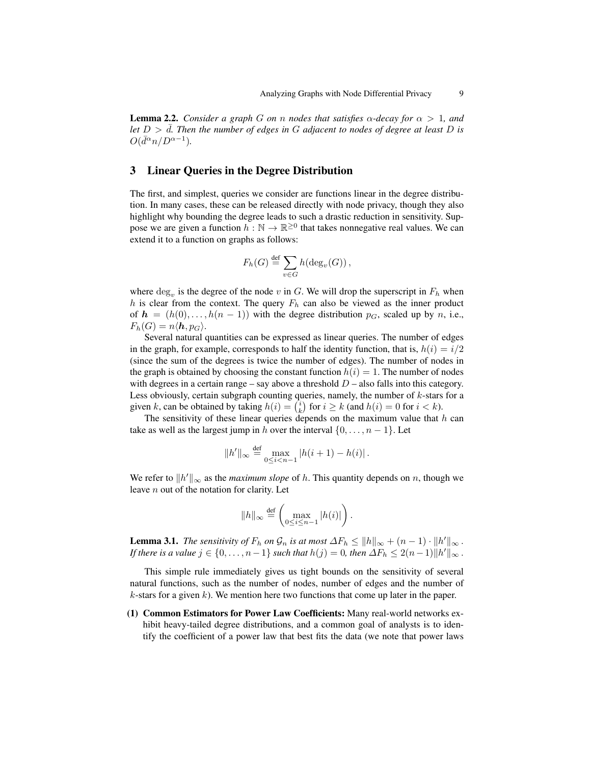**Lemma 2.2.** *Consider a graph* G *on n nodes that satisfies*  $\alpha$ -decay for  $\alpha > 1$ *, and let*  $D > d$ *. Then the number of edges in* G *adjacent to nodes of degree at least* D *is*  $O(\bar{d}^{\alpha}n/D^{\alpha-1}).$ 

# <span id="page-8-0"></span>3 Linear Queries in the Degree Distribution

The first, and simplest, queries we consider are functions linear in the degree distribution. In many cases, these can be released directly with node privacy, though they also highlight why bounding the degree leads to such a drastic reduction in sensitivity. Suppose we are given a function  $h : \mathbb{N} \to \mathbb{R}^{\geq 0}$  that takes nonnegative real values. We can extend it to a function on graphs as follows:

$$
F_h(G) \stackrel{\text{def}}{=} \sum_{v \in G} h(\deg_v(G)),
$$

where  $\deg_v$  is the degree of the node v in G. We will drop the superscript in  $F_h$  when h is clear from the context. The query  $F_h$  can also be viewed as the inner product of  $h = (h(0), \ldots, h(n-1))$  with the degree distribution  $p_G$ , scaled up by n, i.e.,  $F_h(G) = n\langle h, p_G \rangle$ .

Several natural quantities can be expressed as linear queries. The number of edges in the graph, for example, corresponds to half the identity function, that is,  $h(i) = i/2$ (since the sum of the degrees is twice the number of edges). The number of nodes in the graph is obtained by choosing the constant function  $h(i) = 1$ . The number of nodes with degrees in a certain range – say above a threshold  $D$  – also falls into this category. Less obviously, certain subgraph counting queries, namely, the number of  $k$ -stars for a given k, can be obtained by taking  $h(i) = \binom{i}{k}$  for  $i \ge k$  (and  $h(i) = 0$  for  $i < k$ ).

The sensitivity of these linear queries depends on the maximum value that  $h$  can take as well as the largest jump in h over the interval  $\{0, \ldots, n-1\}$ . Let

$$
||h'||_{\infty} \stackrel{\text{def}}{=} \max_{0 \le i < n-1} |h(i+1) - h(i)|.
$$

We refer to  $||h'||_{\infty}$  as the *maximum slope* of h. This quantity depends on n, though we leave  $n$  out of the notation for clarity. Let

$$
\|h\|_{\infty} \stackrel{\text{def}}{=} \left( \max_{0 \leq i \leq n-1} |h(i)| \right).
$$

**Lemma 3.1.** *The sensitivity of*  $F_h$  *on*  $\mathcal{G}_n$  *is at most*  $\Delta F_h \leq ||h||_{\infty} + (n-1) \cdot ||h'||_{\infty}$ . *If there is a value*  $j \in \{0, \ldots, n-1\}$  *such that*  $h(j) = 0$ *, then*  $\Delta F_h \leq 2(n-1) \|h'\|_{\infty}$ .

This simple rule immediately gives us tight bounds on the sensitivity of several natural functions, such as the number of nodes, number of edges and the number of  $k$ -stars for a given k). We mention here two functions that come up later in the paper.

(1) Common Estimators for Power Law Coefficients: Many real-world networks exhibit heavy-tailed degree distributions, and a common goal of analysts is to identify the coefficient of a power law that best fits the data (we note that power laws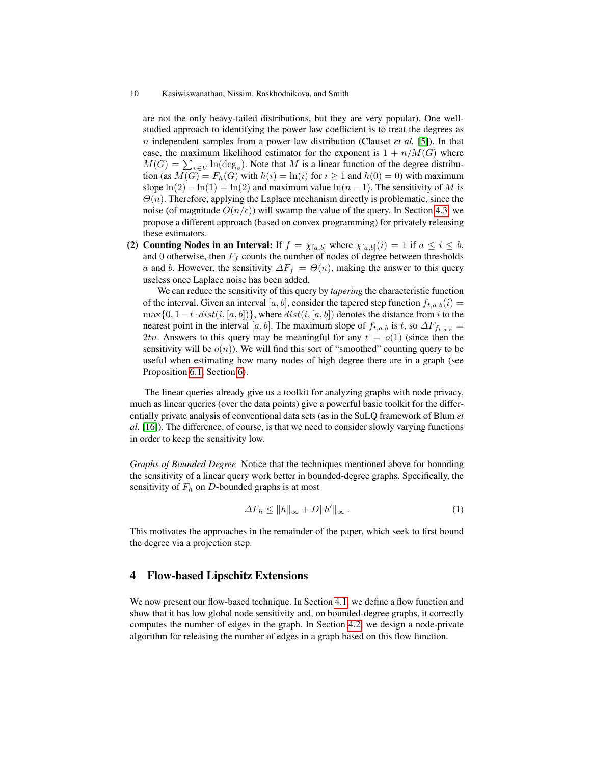are not the only heavy-tailed distributions, but they are very popular). One wellstudied approach to identifying the power law coefficient is to treat the degrees as n independent samples from a power law distribution (Clauset *et al.* [\[5\]](#page-17-4)). In that case, the maximum likelihood estimator for the exponent is  $1 + n/M(G)$  where  $M(G) = \sum_{v \in V} \ln(\deg_v)$ . Note that M is a linear function of the degree distribution (as  $M(G) = F_h(G)$  with  $h(i) = \ln(i)$  for  $i \ge 1$  and  $h(0) = 0$ ) with maximum slope  $\ln(2) - \ln(1) = \ln(2)$  and maximum value  $\ln(n - 1)$ . The sensitivity of M is  $\Theta(n)$ . Therefore, applying the Laplace mechanism directly is problematic, since the noise (of magnitude  $O(n/\epsilon)$ ) will swamp the value of the query. In Section [4.3,](#page-11-0) we propose a different approach (based on convex programming) for privately releasing these estimators.

<span id="page-9-2"></span>(2) Counting Nodes in an Interval: If  $f = \chi_{[a,b]}$  where  $\chi_{[a,b]}(i) = 1$  if  $a \le i \le b$ , and 0 otherwise, then  $F_f$  counts the number of nodes of degree between thresholds a and b. However, the sensitivity  $\Delta F_f = \Theta(n)$ , making the answer to this query useless once Laplace noise has been added.

We can reduce the sensitivity of this query by *tapering* the characteristic function of the interval. Given an interval [a, b], consider the tapered step function  $f_{t,a,b}(i)$  =  $\max\{0, 1-t \cdot dist(i, [a, b])\}$ , where  $dist(i, [a, b])$  denotes the distance from i to the nearest point in the interval [a, b]. The maximum slope of  $f_{t,a,b}$  is t, so  $\Delta F_{f_{t,a,b}} =$ 2tn. Answers to this query may be meaningful for any  $t = o(1)$  (since then the sensitivity will be  $o(n)$ ). We will find this sort of "smoothed" counting query to be useful when estimating how many nodes of high degree there are in a graph (see Proposition [6.1,](#page-11-1) Section [6\)](#page-14-0).

The linear queries already give us a toolkit for analyzing graphs with node privacy, much as linear queries (over the data points) give a powerful basic toolkit for the differentially private analysis of conventional data sets (as in the SuLQ framework of Blum *et al.* [\[16\]](#page-18-9)). The difference, of course, is that we need to consider slowly varying functions in order to keep the sensitivity low.

*Graphs of Bounded Degree* Notice that the techniques mentioned above for bounding the sensitivity of a linear query work better in bounded-degree graphs. Specifically, the sensitivity of  $F_h$  on  $D$ -bounded graphs is at most

<span id="page-9-1"></span>
$$
\Delta F_h \le ||h||_{\infty} + D||h'||_{\infty}.
$$
\n<sup>(1)</sup>

This motivates the approaches in the remainder of the paper, which seek to first bound the degree via a projection step.

# <span id="page-9-0"></span>4 Flow-based Lipschitz Extensions

We now present our flow-based technique. In Section [4.1,](#page-10-1) we define a flow function and show that it has low global node sensitivity and, on bounded-degree graphs, it correctly computes the number of edges in the graph. In Section [4.2,](#page-10-0) we design a node-private algorithm for releasing the number of edges in a graph based on this flow function.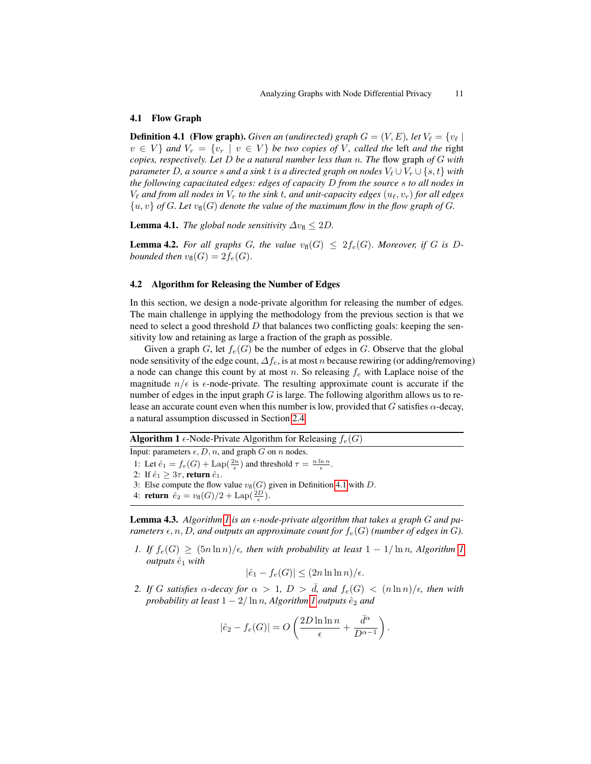### <span id="page-10-1"></span>4.1 Flow Graph

**Definition 4.1** (Flow graph). *Given an (undirected) graph*  $G = (V, E)$ *, let*  $V_\ell = \{v_\ell \mid$  $v \in V$  *and*  $V_r = \{v_r \mid v \in V\}$  *be two copies of* V, called the left and the right *copies, respectively. Let* D *be a natural number less than* n*. The* flow graph *of* G *with parameter* D, a source s and a sink t is a directed graph on nodes  $V_{\ell} \cup V_r \cup \{s, t\}$  with *the following capacitated edges: edges of capacity* D *from the source* s *to all nodes in*  $V_{\ell}$  *and from all nodes in*  $V_r$  *to the sink t, and unit-capacity edges*  $(u_{\ell}, v_r)$  *for all edges*  $\{u, v\}$  *of* G. Let  $v_{\text{fl}}(G)$  *denote the value of the maximum flow in the flow graph of* G.

**Lemma 4.1.** *The global node sensitivity*  $\Delta v_{\text{fl}} \leq 2D$ .

**Lemma 4.2.** For all graphs G, the value  $v_{\text{fl}}(G) \leq 2f_e(G)$ . Moreover, if G is D*bounded then*  $v_{\text{fl}}(G) = 2f_e(G)$ .

#### <span id="page-10-0"></span>4.2 Algorithm for Releasing the Number of Edges

In this section, we design a node-private algorithm for releasing the number of edges. The main challenge in applying the methodology from the previous section is that we need to select a good threshold  $D$  that balances two conflicting goals: keeping the sensitivity low and retaining as large a fraction of the graph as possible.

Given a graph G, let  $f_e(G)$  be the number of edges in G. Observe that the global node sensitivity of the edge count,  $\Delta f_e$ , is at most *n* because rewiring (or adding/removing) a node can change this count by at most n. So releasing  $f_e$  with Laplace noise of the magnitude  $n/\epsilon$  is  $\epsilon$ -node-private. The resulting approximate count is accurate if the number of edges in the input graph  $G$  is large. The following algorithm allows us to release an accurate count even when this number is low, provided that G satisfies  $\alpha$ -decay, a natural assumption discussed in Section [2.4.](#page-7-1)

**Algorithm 1**  $\epsilon$ -Node-Private Algorithm for Releasing  $f_e(G)$ 

<span id="page-10-2"></span>Input: parameters  $\epsilon$ , D, n, and graph G on n nodes.

1: Let  $\hat{e}_1 = f_e(G) + \text{Lap}(\frac{2n}{\epsilon})$  and threshold  $\tau = \frac{n \ln n}{\epsilon}$ .

2: If  $\hat{e}_1 \geq 3\tau$ , return  $\hat{e}_1$ .

- 3: Else compute the flow value  $v_{\text{fl}}(G)$  given in Definition [4.1](#page-5-0) with D.
- 4: **return**  $\hat{e}_2 = v_{\text{fl}}(G)/2 + \text{Lap}(\frac{2D}{\epsilon}).$

<span id="page-10-3"></span>Lemma 4.3. *Algorithm [1](#page-10-2) is an -node-private algorithm that takes a graph* G *and parameters*  $\epsilon$ , *n*, *D*, and outputs an approximate count for  $f_e(G)$  (number of edges in G).

*1.* If  $f_e(G) \geq (5n \ln n)/\epsilon$ , then with probability at least  $1 - 1/\ln n$  $1 - 1/\ln n$  $1 - 1/\ln n$ , Algorithm 1 *outputs*  $\hat{e}_1$  *with* 

$$
|\hat{e}_1 - f_e(G)| \le (2n \ln \ln n)/\epsilon.
$$

*2. If* G satisfies  $\alpha$ -decay for  $\alpha > 1$ ,  $D > \overline{d}$ , and  $f_e(G) < (n \ln n)/\epsilon$ , then with *probability at least*  $1 - 2/\ln n$ *, Algorithm [1](#page-10-2) outputs*  $\hat{e}_2$  *and* 

$$
|\hat{e}_2 - f_e(G)| = O\left(\frac{2D\ln\ln n}{\epsilon} + \frac{\bar{d}^{\alpha}}{D^{\alpha-1}}\right).
$$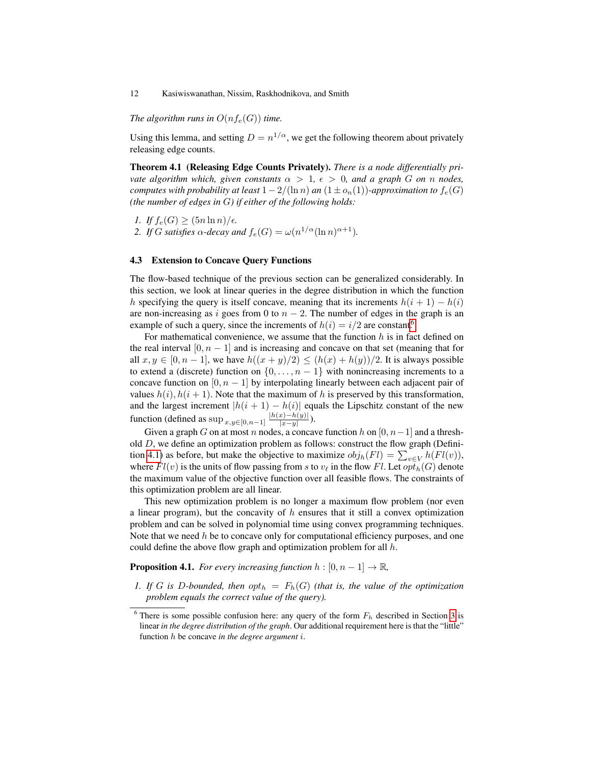*The algorithm runs in*  $O(n f_e(G))$  *time.* 

<span id="page-11-3"></span>Using this lemma, and setting  $D = n^{1/\alpha}$ , we get the following theorem about privately releasing edge counts.

Theorem 4.1 (Releasing Edge Counts Privately). *There is a node differentially private algorithm which, given constants*  $\alpha > 1$ ,  $\epsilon > 0$ , and a graph G on n nodes, *computes with probability at least*  $1-2/(\ln n)$  *an*  $(1 \pm o_n(1))$ *-approximation to*  $f_e(G)$ *(the number of edges in* G*) if either of the following holds:*

- *1. If*  $f_e(G) \geq (5n \ln n)/\epsilon$ .
- 2. If G satisfies  $\alpha$ -decay and  $f_e(G) = \omega(n^{1/\alpha} (\ln n)^{\alpha+1})$ .

# <span id="page-11-0"></span>4.3 Extension to Concave Query Functions

The flow-based technique of the previous section can be generalized considerably. In this section, we look at linear queries in the degree distribution in which the function h specifying the query is itself concave, meaning that its increments  $h(i + 1) - h(i)$ are non-increasing as i goes from 0 to  $n - 2$ . The number of edges in the graph is an example of such a query, since the increments of  $h(i) = i/2$  are constant.<sup>[6](#page-11-2)</sup>

For mathematical convenience, we assume that the function  $h$  is in fact defined on the real interval [0,  $n - 1$ ] and is increasing and concave on that set (meaning that for all  $x, y \in [0, n-1]$ , we have  $h((x+y)/2) \le (h(x) + h(y))/2$ . It is always possible to extend a (discrete) function on  $\{0, \ldots, n-1\}$  with nonincreasing increments to a concave function on  $[0, n - 1]$  by interpolating linearly between each adjacent pair of values  $h(i)$ ,  $h(i + 1)$ . Note that the maximum of h is preserved by this transformation, and the largest increment  $|h(i + 1) - h(i)|$  equals the Lipschitz constant of the new function (defined as sup  $x,y \in [0,n-1] \frac{|h(x)-h(y)|}{|x-y|}$  $\frac{x)-n(y)}{|x-y|}.$ 

Given a graph G on at most n nodes, a concave function h on  $[0, n-1]$  and a threshold  $D$ , we define an optimization problem as follows: construct the flow graph (Defini-tion [4.1\)](#page-5-0) as before, but make the objective to maximize  $obj_h(Fl) = \sum_{v \in V} h(Fl(v)),$ where  $Fl(v)$  is the units of flow passing from s to  $v_\ell$  in the flow Fl. Let  $opt_h(G)$  denote the maximum value of the objective function over all feasible flows. The constraints of this optimization problem are all linear.

This new optimization problem is no longer a maximum flow problem (nor even a linear program), but the concavity of  $h$  ensures that it still a convex optimization problem and can be solved in polynomial time using convex programming techniques. Note that we need  $h$  be to concave only for computational efficiency purposes, and one could define the above flow graph and optimization problem for all  $h$ .

<span id="page-11-1"></span>**Proposition 4.1.** *For every increasing function*  $h : [0, n - 1] \rightarrow \mathbb{R}$ *,* 

*1.* If G is D-bounded, then  $opt_h = F_h(G)$  (that is, the value of the optimization *problem equals the correct value of the query).*

<span id="page-11-2"></span> $6$  There is some possible confusion here: any query of the form  $F_h$  described in Section [3](#page-8-0) is linear *in the degree distribution of the graph*. Our additional requirement here is that the "little" function h be concave *in the degree argument* i.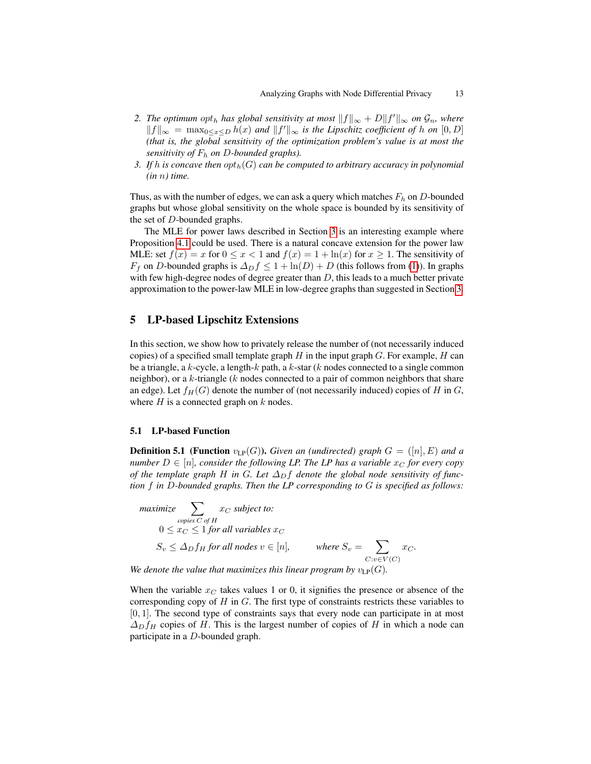- 2. The optimum opt<sub>h</sub> has global sensitivity at most  $||f||_{\infty} + D||f'||_{\infty}$  on  $\mathcal{G}_n$ , where  $||f||_{\infty}$  = max<sub>0≤x≤D</sub> h(x) and  $||f'||_{\infty}$  is the Lipschitz coefficient of h on [0, D] *(that is, the global sensitivity of the optimization problem's value is at most the sensitivity of* F<sup>h</sup> *on* D*-bounded graphs).*
- *3. If h is concave then*  $opt<sub>h</sub>(G)$  *can be computed to arbitrary accuracy in polynomial (in* n*) time.*

Thus, as with the number of edges, we can ask a query which matches  $F_h$  on D-bounded graphs but whose global sensitivity on the whole space is bounded by its sensitivity of the set of D-bounded graphs.

The MLE for power laws described in Section [3](#page-8-0) is an interesting example where Proposition [4.1](#page-11-1) could be used. There is a natural concave extension for the power law MLE: set  $f(x) = x$  for  $0 \le x < 1$  and  $f(x) = 1 + \ln(x)$  for  $x \ge 1$ . The sensitivity of  $F_f$  on D-bounded graphs is  $\Delta_D f \leq 1 + \ln(D) + D$  (this follows from [\(1\)](#page-9-1)). In graphs with few high-degree nodes of degree greater than  $D$ , this leads to a much better private approximation to the power-law MLE in low-degree graphs than suggested in Section [3.](#page-8-0)

# <span id="page-12-0"></span>5 LP-based Lipschitz Extensions

In this section, we show how to privately release the number of (not necessarily induced copies) of a specified small template graph  $H$  in the input graph  $G$ . For example,  $H$  can be a triangle, a k-cycle, a length-k path, a k-star  $(k$  nodes connected to a single common neighbor), or a k-triangle  $(k$  nodes connected to a pair of common neighbors that share an edge). Let  $f_H(G)$  denote the number of (not necessarily induced) copies of H in G, where  $H$  is a connected graph on  $k$  nodes.

# 5.1 LP-based Function

**Definition 5.1** (Function  $v_{LP}(G)$ ). *Given an (undirected) graph*  $G = ([n], E)$  *and a number*  $D \in [n]$ *, consider the following LP. The LP has a variable*  $x_C$  *for every copy of the template graph H in G. Let*  $\Delta_D f$  *denote the global node sensitivity of function* f *in* D*-bounded graphs. Then the LP corresponding to* G *is specified as follows:*

$$
\begin{aligned}\n\text{maximize} & \sum_{copies \ C \ of \ H} x_C \ \text{subject to:} \\
0 & \le x_C \le 1 \ \text{for all variables } x_C \\
S_v & \le \Delta_D f_H \ \text{for all nodes } v \in [n], \qquad \text{where } S_v = \sum_{C:v \in V(C)} x_C.\n\end{aligned}
$$

*We denote the value that maximizes this linear program by*  $v_{LP}(G)$ *.* 

When the variable  $x_C$  takes values 1 or 0, it signifies the presence or absence of the corresponding copy of  $H$  in  $G$ . The first type of constraints restricts these variables to  $[0, 1]$ . The second type of constraints says that every node can participate in at most  $\Delta_D f_H$  copies of H. This is the largest number of copies of H in which a node can participate in a D-bounded graph.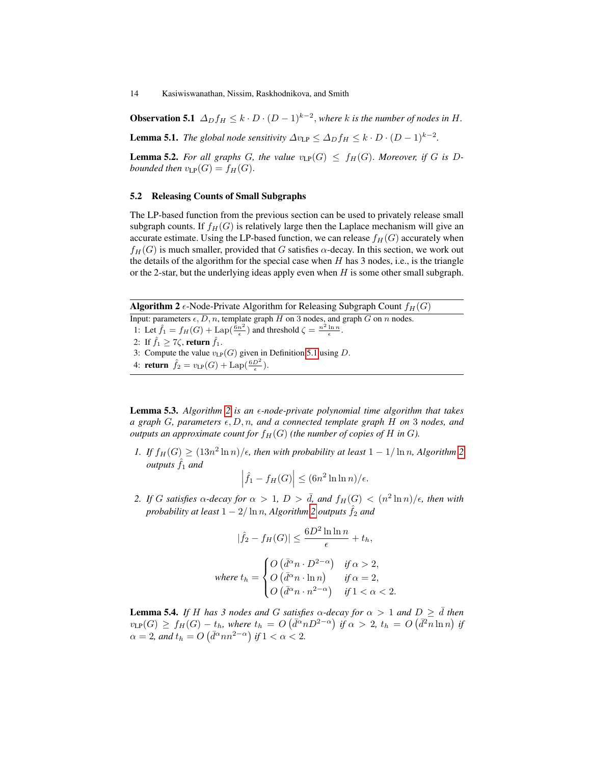**Observation 5.1**  $\Delta_D f_H \leq k \cdot D \cdot (D-1)^{k-2}$ , where k is the number of nodes in H. **Lemma 5.1.** *The global node sensitivity*  $\Delta v_{LP} \leq \Delta_D f_H \leq k \cdot D \cdot (D-1)^{k-2}$ *.* 

**Lemma 5.2.** For all graphs G, the value  $v_{LP}(G) \leq f_H(G)$ . Moreover, if G is D*bounded then*  $v_{LP}(G) = f_H(G)$ .

#### 5.2 Releasing Counts of Small Subgraphs

The LP-based function from the previous section can be used to privately release small subgraph counts. If  $f_H(G)$  is relatively large then the Laplace mechanism will give an accurate estimate. Using the LP-based function, we can release  $f_H(G)$  accurately when  $f_H(G)$  is much smaller, provided that G satisfies  $\alpha$ -decay. In this section, we work out the details of the algorithm for the special case when  $H$  has 3 nodes, i.e., is the triangle or the 2-star, but the underlying ideas apply even when  $H$  is some other small subgraph.

**Algorithm 2**  $\epsilon$ -Node-Private Algorithm for Releasing Subgraph Count  $f_H(G)$ 

<span id="page-13-0"></span>Input: parameters  $\epsilon$ , D, n, template graph H on 3 nodes, and graph G on n nodes. 1: Let  $\hat{f}_1 = f_H(G) + \text{Lap}(\frac{\hat{6}n^2}{\epsilon})$  $\frac{n^2}{\epsilon}$ ) and threshold  $\zeta = \frac{n^2 \ln n}{\epsilon}$ .

2: If  $\hat{f}_1 \geq 7\zeta$ , return  $\hat{f}_1$ .

3: Compute the value  $v_{LP}(G)$  given in Definition [5.1](#page-5-0) using D.

4: **return**  $\hat{f}_2 = v_{LP}(G) + \text{Lap}(\frac{6D^2}{\epsilon}).$ 

Lemma 5.3. *Algorithm* [2](#page-13-0) *is an*  $\epsilon$ *-node-private polynomial time algorithm that takes a* graph G, parameters  $\epsilon$ , D, n, and a connected template graph H on 3 nodes, and *outputs an approximate count for*  $f_H(G)$  *(the number of copies of H in G).* 

*1. If*  $f_H(G)$  ≥  $(13n^2 \ln n)/\epsilon$ , then with probability at least  $1 - 1/\ln n$ , Algorithm [2](#page-13-0) *outputs*  $\hat{f}_1$  *and* 

$$
\left|\hat{f}_1 - f_H(G)\right| \le (6n^2 \ln \ln n)/\epsilon.
$$

2. If G satisfies  $\alpha$ -decay for  $\alpha > 1$ ,  $D > \overline{d}$ , and  $f_H(G) < (n^2 \ln n)/\epsilon$ , then with *probability at least*  $1 - 2/\ln n$  $1 - 2/\ln n$  $1 - 2/\ln n$ *, Algorithm* 2 *outputs*  $\hat{f}_2$  *and* 

$$
|\hat{f}_2 - f_H(G)| \le \frac{6D^2 \ln \ln n}{\epsilon} + t_h,
$$
  
where  $t_h = \begin{cases} O(\bar{d}^{\alpha} n \cdot D^{2-\alpha}) & \text{if } \alpha > 2, \\ O(\bar{d}^{\alpha} n \cdot \ln n) & \text{if } \alpha = 2, \\ O(\bar{d}^{\alpha} n \cdot n^{2-\alpha}) & \text{if } 1 < \alpha < 2. \end{cases}$ 

<span id="page-13-1"></span>**Lemma 5.4.** *If* H *has* 3 nodes and G satisfies  $\alpha$ -decay for  $\alpha > 1$  and  $D \geq d$  then  $v_{LP}(G) \ge f_H(G) - t_h$ , where  $t_h = O\left(\bar{d}^{\alpha} n D^{2-\alpha}\right)$  if  $\alpha > 2$ ,  $t_h = O\left(\bar{d}^2 n \ln n\right)$  if  $\alpha = 2$ , and  $t_h = O\left(\overline{d}^{\alpha}nn^{2-\alpha}\right)$  if  $1 < \alpha < 2$ .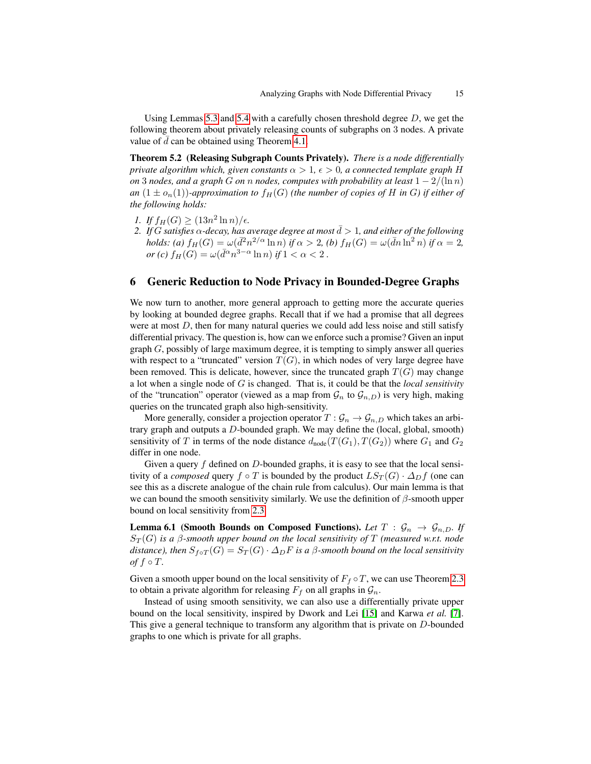Using Lemmas [5.3](#page-10-3) and [5.4](#page-13-1) with a carefully chosen threshold degree  $D$ , we get the following theorem about privately releasing counts of subgraphs on 3 nodes. A private value of  $d$  can be obtained using Theorem [4.1.](#page-11-3)

Theorem 5.2 (Releasing Subgraph Counts Privately). *There is a node differentially private algorithm which, given constants*  $\alpha > 1$ ,  $\epsilon > 0$ , *a connected template graph H on* 3 *nodes, and a graph* G *on n nodes, computes with probability at least*  $1 - 2/(\ln n)$ *an*  $(1 \pm o_n(1))$ -approximation to  $f_H(G)$  (the number of copies of H in G) if either of *the following holds:*

- *1. If*  $f_H(G) \geq (13n^2 \ln n)/\epsilon$ .
- *2. If* G satisfies  $\alpha$ -decay, has average degree at most  $\bar{d} > 1$ , and either of the following  $\int_0^{\infty} h \, d\mu = \int_0^{\infty} h \, d\mu = \int_0^{\infty} \left( \frac{d^2 n^2}{\alpha \ln n} \right) \, d\mu = \int_0^{\infty} h \, d\mu = \int_0^{\infty} h \, d\mu = \int_0^{\infty} h \, d\mu = \int_0^{\infty} h \, d\mu = \int_0^{\infty} h \, d\mu = \int_0^{\infty} h \, d\mu = \int_0^{\infty} h \, d\mu = \int_0^{\infty} h \, d\mu = \int_0^{\infty} h \, d\mu = \int_0^{\in$  $or$  (c)  $f_H(G) = \omega(\bar{d}^{\alpha} n^{3-\alpha} \ln n)$  *if*  $1 < \alpha < 2$  .

# <span id="page-14-0"></span>6 Generic Reduction to Node Privacy in Bounded-Degree Graphs

We now turn to another, more general approach to getting more the accurate queries by looking at bounded degree graphs. Recall that if we had a promise that all degrees were at most  $D$ , then for many natural queries we could add less noise and still satisfy differential privacy. The question is, how can we enforce such a promise? Given an input graph  $G$ , possibly of large maximum degree, it is tempting to simply answer all queries with respect to a "truncated" version  $T(G)$ , in which nodes of very large degree have been removed. This is delicate, however, since the truncated graph  $T(G)$  may change a lot when a single node of G is changed. That is, it could be that the *local sensitivity* of the "truncation" operator (viewed as a map from  $\mathcal{G}_n$  to  $\mathcal{G}_{n,D}$ ) is very high, making queries on the truncated graph also high-sensitivity.

More generally, consider a projection operator  $T : \mathcal{G}_n \to \mathcal{G}_{n,D}$  which takes an arbitrary graph and outputs a D-bounded graph. We may define the (local, global, smooth) sensitivity of T in terms of the node distance  $d_{\text{node}}(T(G_1), T(G_2))$  where  $G_1$  and  $G_2$ differ in one node.

Given a query  $f$  defined on  $D$ -bounded graphs, it is easy to see that the local sensitivity of a *composed* query  $f \circ T$  is bounded by the product  $LS_T(G) \cdot \Delta_D f$  (one can see this as a discrete analogue of the chain rule from calculus). Our main lemma is that we can bound the smooth sensitivity similarly. We use the definition of  $\beta$ -smooth upper bound on local sensitivity from [2.3.](#page-6-0)

**Lemma 6.1** (Smooth Bounds on Composed Functions). Let  $T : \mathcal{G}_n \to \mathcal{G}_{n,D}$ . If S<sup>T</sup> (G) *is a* β*-smooth upper bound on the local sensitivity of* T *(measured w.r.t. node distance), then*  $S_{f \circ T}(G) = S_T(G) \cdot \Delta_D F$  *is a*  $\beta$ -smooth bound on the local sensitivity *of*  $f \circ T$ .

Given a smooth upper bound on the local sensitivity of  $F_f \circ T$ , we can use Theorem [2.3](#page-6-1) to obtain a private algorithm for releasing  $F_f$  on all graphs in  $\mathcal{G}_n$ .

Instead of using smooth sensitivity, we can also use a differentially private upper bound on the local sensitivity, inspired by Dwork and Lei [\[15\]](#page-18-8) and Karwa *et al.* [\[7\]](#page-17-6). This give a general technique to transform any algorithm that is private on D-bounded graphs to one which is private for all graphs.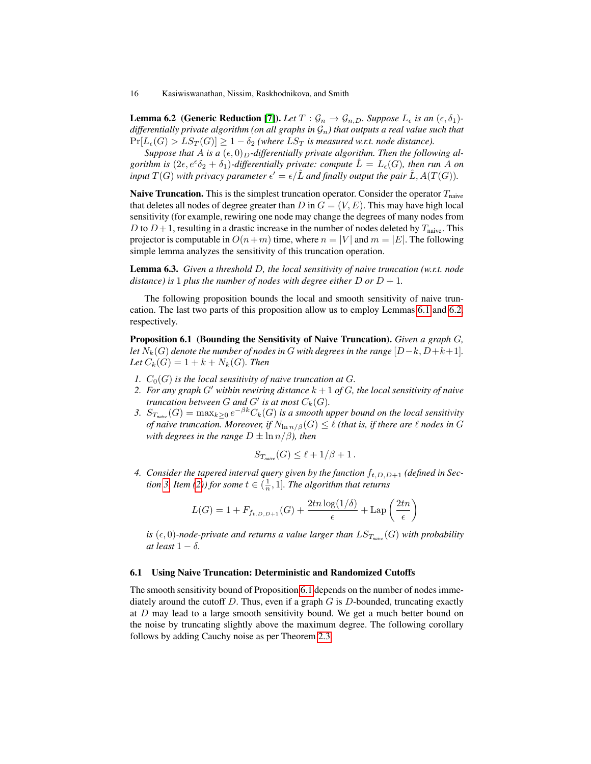**Lemma 6.2** (Generic Reduction [\[7\]](#page-17-6)). Let  $T : \mathcal{G}_n \to \mathcal{G}_{n,D}$ . Suppose  $L_{\epsilon}$  is an  $(\epsilon, \delta_1)$ *differentially private algorithm (on all graphs in* Gn*) that outputs a real value such that*  $Pr[L_{\epsilon}(G) > LS_T(G)] \geq 1 - \delta_2$  *(where*  $LS_T$  *is measured w.r.t. node distance).* 

Suppose that A is a  $(\epsilon, 0)_D$ -differentially private algorithm. Then the following algorithm is  $(2\epsilon, e^{\epsilon}\delta_2 + \delta_1)$ -differentially private: compute  $\hat{L} = L_{\epsilon}(G)$ , then run A on *input*  $T(G)$  *with privacy parameter*  $\epsilon' = \epsilon/\hat{L}$  *and finally output the pair*  $\hat{L}$ ,  $A(T(G))$ *.* 

Naive Truncation. This is the simplest truncation operator. Consider the operator  $T_{\text{naive}}$ that deletes all nodes of degree greater than D in  $G = (V, E)$ . This may have high local sensitivity (for example, rewiring one node may change the degrees of many nodes from D to  $D+1$ , resulting in a drastic increase in the number of nodes deleted by  $T_{\text{naive}}$ . This projector is computable in  $O(n+m)$  time, where  $n = |V|$  and  $m = |E|$ . The following simple lemma analyzes the sensitivity of this truncation operation.

Lemma 6.3. *Given a threshold* D*, the local sensitivity of naive truncation (w.r.t. node distance) is* 1 *plus the number of nodes with degree either*  $D$  *or*  $D + 1$ *.* 

The following proposition bounds the local and smooth sensitivity of naive truncation. The last two parts of this proposition allow us to employ Lemmas [6.1](#page-4-1) and [6.2,](#page-7-2) respectively.

Proposition 6.1 (Bounding the Sensitivity of Naive Truncation). *Given a graph* G*, let*  $N_k(G)$  *denote the number of nodes in* G *with degrees in the range*  $[D-k, D+k+1]$ *. Let*  $C_k(G) = 1 + k + N_k(G)$ *. Then* 

- *1.*  $C_0(G)$  *is the local sensitivity of naive truncation at G.*
- 2. For any graph G' within rewiring distance  $k + 1$  of G, the local sensitivity of naive *truncation between*  $G$  *and*  $G'$  *is at most*  $C_k(G)$ *.*
- 3.  $S_{T_{naive}}(G) = \max_{k \geq 0} e^{-\beta k} C_k(G)$  is a smooth upper bound on the local sensitivity *of naive truncation. Moreover, if*  $N_{\ln n/\beta}(G) \leq \ell$  (that is, if there are  $\ell$  nodes in G *with degrees in the range*  $D \pm \ln n/\beta$ *), then*

$$
S_{T_{naive}}(G) \leq \ell + 1/\beta + 1.
$$

4. Consider the tapered interval query given by the function  $f_{t,D,D+1}$  (defined in Sec*tion* [3,](#page-8-0) *Item* [\(2\)](#page-9-2)) for some  $t \in (\frac{1}{n}, 1]$ . The algorithm that returns

$$
L(G) = 1 + F_{f_{t,D,D+1}}(G) + \frac{2tn \log(1/\delta)}{\epsilon} + \text{Lap}\left(\frac{2tn}{\epsilon}\right)
$$

*is*  $(\epsilon, 0)$ -node-private and returns a value larger than  $LS_{T_{naive}}(G)$  with probability *at least*  $1 - \delta$ *.* 

### 6.1 Using Naive Truncation: Deterministic and Randomized Cutoffs

<span id="page-15-0"></span>The smooth sensitivity bound of Proposition [6.1](#page-11-1) depends on the number of nodes immediately around the cutoff  $D$ . Thus, even if a graph  $G$  is  $D$ -bounded, truncating exactly at D may lead to a large smooth sensitivity bound. We get a much better bound on the noise by truncating slightly above the maximum degree. The following corollary follows by adding Cauchy noise as per Theorem [2.3.](#page-6-1)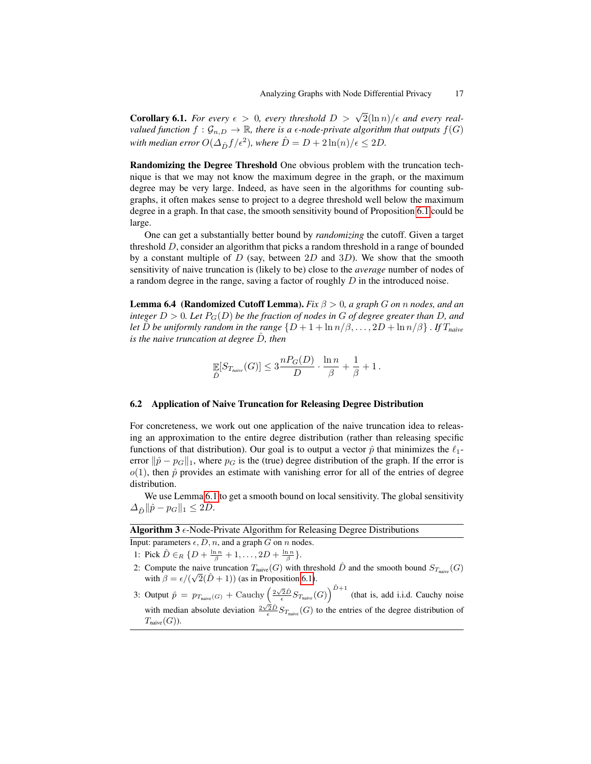**Corollary 6.1.** For every  $\epsilon > 0$ , every threshold  $D > \sqrt{2}(\ln n)/\epsilon$  and every real*valued function*  $f : \mathcal{G}_{n,D} \to \mathbb{R}$ , there is a  $\epsilon$ -node-private algorithm that outputs  $f(G)$ with median error  $O(\Delta_{\hat{D}} f/\epsilon^2)$ , where  $\hat{D}=D+2\ln(n)/\epsilon\leq 2D$ .

Randomizing the Degree Threshold One obvious problem with the truncation technique is that we may not know the maximum degree in the graph, or the maximum degree may be very large. Indeed, as have seen in the algorithms for counting subgraphs, it often makes sense to project to a degree threshold well below the maximum degree in a graph. In that case, the smooth sensitivity bound of Proposition [6.1](#page-11-1) could be large.

One can get a substantially better bound by *randomizing* the cutoff. Given a target threshold D, consider an algorithm that picks a random threshold in a range of bounded by a constant multiple of  $D$  (say, between  $2D$  and  $3D$ ). We show that the smooth sensitivity of naive truncation is (likely to be) close to the *average* number of nodes of a random degree in the range, saving a factor of roughly  $D$  in the introduced noise.

Lemma 6.4 (Randomized Cutoff Lemma). *Fix* β > 0*, a graph* G *on* n *nodes, and an integer*  $D > 0$ *. Let*  $P_G(D)$  *be the fraction of nodes in* G *of degree greater than* D, and *let*  $\overline{D}$  *be uniformly random in the range*  $\{D+1+\ln n/\beta, \ldots, 2D+\ln n/\beta\}$ . If  $T_{naive}$ *is the naive truncation at degree*  $\ddot{D}$ *, then* 

$$
\mathop{\mathbb{E}}_{\hat{D}}[S_{T_{naive}}(G)] \leq 3\frac{nP_G(D)}{D} \cdot \frac{\ln n}{\beta} + \frac{1}{\beta} + 1.
$$

#### 6.2 Application of Naive Truncation for Releasing Degree Distribution

For concreteness, we work out one application of the naive truncation idea to releasing an approximation to the entire degree distribution (rather than releasing specific functions of that distribution). Our goal is to output a vector  $\hat{p}$  that minimizes the  $\ell_1$ error  $\|\hat{p} - p_G\|_1$ , where  $p_G$  is the (true) degree distribution of the graph. If the error is  $o(1)$ , then  $\hat{p}$  provides an estimate with vanishing error for all of the entries of degree distribution.

We use Lemma [6.1](#page-4-1) to get a smooth bound on local sensitivity. The global sensitivity  $\Delta_{\hat{D}} \|\hat{p} - p_G\|_1 \leq 2D.$ 

Algorithm  $3 \epsilon$ -Node-Private Algorithm for Releasing Degree Distributions

<span id="page-16-0"></span>Input: parameters  $\epsilon$ , D, n, and a graph G on n nodes.

- 1: Pick  $\hat{D} \in_R \{D + \frac{\ln n}{\beta} + 1, \ldots, 2D + \frac{\ln n}{\beta}\}.$
- 2: Compute the naive truncation  $T_{\text{naive}}(G)$  with threshold  $\hat{D}$  and the smooth bound  $S_{T_{\text{naive}}}(G)$ with  $\beta = \epsilon/(\sqrt{2}(\hat{D}+1))$  (as in Proposition [6.1\)](#page-11-1).
- 3: Output  $\hat{p} = p_{T_{\text{naive}}(G)} + \text{Cauchy} \left( \frac{2\sqrt{2}\hat{D}}{\epsilon} S_{T_{\text{naive}}}(G) \right)^{\hat{D}+1}$  (that is, add i.i.d. Cauchy noise with median absolute deviation  $\frac{2\sqrt{2}\hat{D}}{\epsilon}S_{T_{\text{naive}}}(G)$  to the entries of the degree distribution of  $T_{\text{naive}}(G)$ ).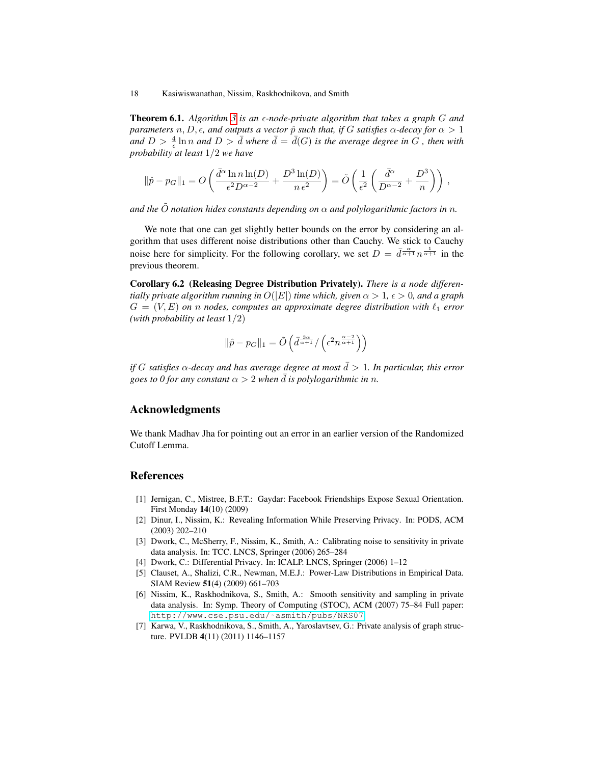Theorem 6.1. *Algorithm [3](#page-16-0) is an -node-private algorithm that takes a graph* G *and parameters*  $n, D, \epsilon$ , and outputs a vector  $\hat{p}$  such that, if G satisfies  $\alpha$ -decay for  $\alpha > 1$ and  $D > \frac{4}{\epsilon} \ln n$  and  $D > \overline{d}$  where  $\overline{d} = \overline{d}(G)$  is the average degree in  $G$  , then with *probability at least* 1/2 *we have*

$$
\|\hat{p}-p_G\|_1 = O\left(\frac{\bar{d}^{\alpha}\ln n \ln(D)}{\epsilon^2 D^{\alpha-2}} + \frac{D^3\ln(D)}{n\,\epsilon^2}\right) = \tilde{O}\left(\frac{1}{\epsilon^2}\left(\frac{\bar{d}^{\alpha}}{D^{\alpha-2}} + \frac{D^3}{n}\right)\right)\,,
$$

*and the*  $\tilde{O}$  *notation hides constants depending on*  $\alpha$  *and polylogarithmic factors in n*.

We note that one can get slightly better bounds on the error by considering an algorithm that uses different noise distributions other than Cauchy. We stick to Cauchy noise here for simplicity. For the following corollary, we set  $D = \bar{d}^{\frac{\alpha}{\alpha+1}} n^{\frac{1}{\alpha+1}}$  in the previous theorem.

Corollary 6.2 (Releasing Degree Distribution Privately). *There is a node differentially private algorithm running in*  $O(|E|)$  *time which, given*  $\alpha > 1$ ,  $\epsilon > 0$ *, and a graph*  $G = (V, E)$  *on n nodes, computes an approximate degree distribution with*  $\ell_1$  *error (with probability at least* 1/2)

$$
\|\hat{p}-p_G\|_1 = \tilde{O}\left(\bar{d}^{\frac{3\alpha}{\alpha+1}}/\left(\epsilon^2 n^{\frac{\alpha-2}{\alpha+1}}\right)\right)
$$

*if* G satisfies  $\alpha$ -decay and has average degree at most  $\overline{d} > 1$ . In particular, this error *goes to 0 for any constant*  $\alpha > 2$  *when*  $\overline{d}$  *is polylogarithmic in n.* 

# Acknowledgments

We thank Madhav Jha for pointing out an error in an earlier version of the Randomized Cutoff Lemma.

# **References**

- <span id="page-17-0"></span>[1] Jernigan, C., Mistree, B.F.T.: Gaydar: Facebook Friendships Expose Sexual Orientation. First Monday 14(10) (2009)
- <span id="page-17-1"></span>[2] Dinur, I., Nissim, K.: Revealing Information While Preserving Privacy. In: PODS, ACM (2003) 202–210
- <span id="page-17-2"></span>[3] Dwork, C., McSherry, F., Nissim, K., Smith, A.: Calibrating noise to sensitivity in private data analysis. In: TCC. LNCS, Springer (2006) 265–284
- <span id="page-17-3"></span>[4] Dwork, C.: Differential Privacy. In: ICALP. LNCS, Springer (2006) 1-12
- <span id="page-17-4"></span>[5] Clauset, A., Shalizi, C.R., Newman, M.E.J.: Power-Law Distributions in Empirical Data. SIAM Review 51(4) (2009) 661–703
- <span id="page-17-5"></span>[6] Nissim, K., Raskhodnikova, S., Smith, A.: Smooth sensitivity and sampling in private data analysis. In: Symp. Theory of Computing (STOC), ACM (2007) 75–84 Full paper: [http://www.cse.psu.edu/˜asmith/pubs/NRS07](http://www.cse.psu.edu/~asmith/pubs/NRS07).
- <span id="page-17-6"></span>[7] Karwa, V., Raskhodnikova, S., Smith, A., Yaroslavtsev, G.: Private analysis of graph structure. PVLDB 4(11) (2011) 1146–1157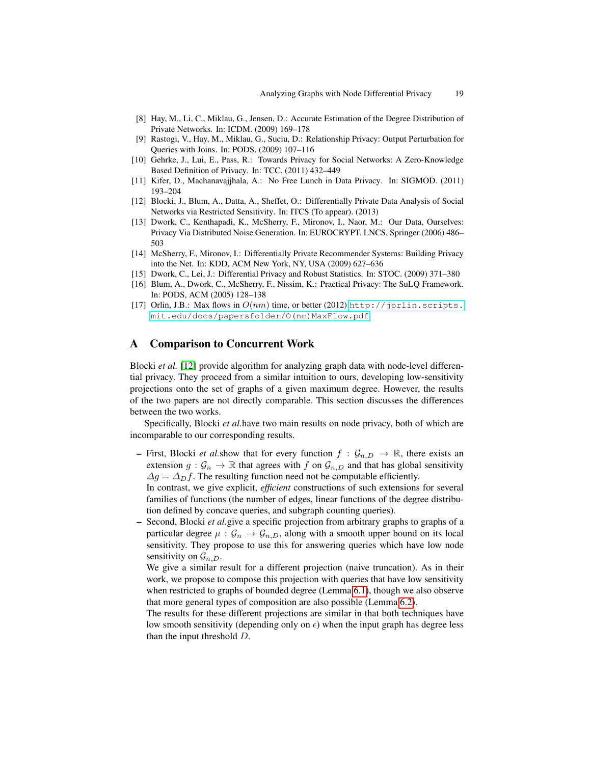- <span id="page-18-0"></span>[8] Hay, M., Li, C., Miklau, G., Jensen, D.: Accurate Estimation of the Degree Distribution of Private Networks. In: ICDM. (2009) 169–178
- <span id="page-18-1"></span>[9] Rastogi, V., Hay, M., Miklau, G., Suciu, D.: Relationship Privacy: Output Perturbation for Queries with Joins. In: PODS. (2009) 107–116
- <span id="page-18-2"></span>[10] Gehrke, J., Lui, E., Pass, R.: Towards Privacy for Social Networks: A Zero-Knowledge Based Definition of Privacy. In: TCC. (2011) 432–449
- <span id="page-18-3"></span>[11] Kifer, D., Machanavajjhala, A.: No Free Lunch in Data Privacy. In: SIGMOD. (2011) 193–204
- <span id="page-18-4"></span>[12] Blocki, J., Blum, A., Datta, A., Sheffet, O.: Differentially Private Data Analysis of Social Networks via Restricted Sensitivity. In: ITCS (To appear). (2013)
- <span id="page-18-6"></span>[13] Dwork, C., Kenthapadi, K., McSherry, F., Mironov, I., Naor, M.: Our Data, Ourselves: Privacy Via Distributed Noise Generation. In: EUROCRYPT. LNCS, Springer (2006) 486– 503
- <span id="page-18-7"></span>[14] McSherry, F., Mironov, I.: Differentially Private Recommender Systems: Building Privacy into the Net. In: KDD, ACM New York, NY, USA (2009) 627–636
- <span id="page-18-8"></span>[15] Dwork, C., Lei, J.: Differential Privacy and Robust Statistics. In: STOC. (2009) 371–380
- <span id="page-18-9"></span>[16] Blum, A., Dwork, C., McSherry, F., Nissim, K.: Practical Privacy: The SuLQ Framework. In: PODS, ACM (2005) 128–138
- [17] Orlin, J.B.: Max flows in  $O(nm)$  time, or better (2012) [http://jorlin.scripts.](http://jorlin.scripts.mit.edu/docs/papersfolder/O(nm)MaxFlow.pdf) [mit.edu/docs/papersfolder/O\(nm\)MaxFlow.pdf](http://jorlin.scripts.mit.edu/docs/papersfolder/O(nm)MaxFlow.pdf).

# <span id="page-18-5"></span>A Comparison to Concurrent Work

Blocki *et al.* [\[12\]](#page-18-4) provide algorithm for analyzing graph data with node-level differential privacy. They proceed from a similar intuition to ours, developing low-sensitivity projections onto the set of graphs of a given maximum degree. However, the results of the two papers are not directly comparable. This section discusses the differences between the two works.

Specifically, Blocki *et al.*have two main results on node privacy, both of which are incomparable to our corresponding results.

– First, Blocki *et al.*show that for every function  $f : \mathcal{G}_{n,D} \to \mathbb{R}$ , there exists an extension  $g : \mathcal{G}_n \to \mathbb{R}$  that agrees with f on  $\mathcal{G}_{n,D}$  and that has global sensitivity  $\Delta g = \Delta_D f$ . The resulting function need not be computable efficiently.

In contrast, we give explicit, *efficient* constructions of such extensions for several families of functions (the number of edges, linear functions of the degree distribution defined by concave queries, and subgraph counting queries).

– Second, Blocki *et al.*give a specific projection from arbitrary graphs to graphs of a particular degree  $\mu$ :  $\mathcal{G}_n \to \mathcal{G}_{n,D}$ , along with a smooth upper bound on its local sensitivity. They propose to use this for answering queries which have low node sensitivity on  $\mathcal{G}_{n,D}$ .

We give a similar result for a different projection (naive truncation). As in their work, we propose to compose this projection with queries that have low sensitivity when restricted to graphs of bounded degree (Lemma [6.1\)](#page-4-1), though we also observe that more general types of composition are also possible (Lemma [6.2\)](#page-7-2).

The results for these different projections are similar in that both techniques have low smooth sensitivity (depending only on  $\epsilon$ ) when the input graph has degree less than the input threshold D.